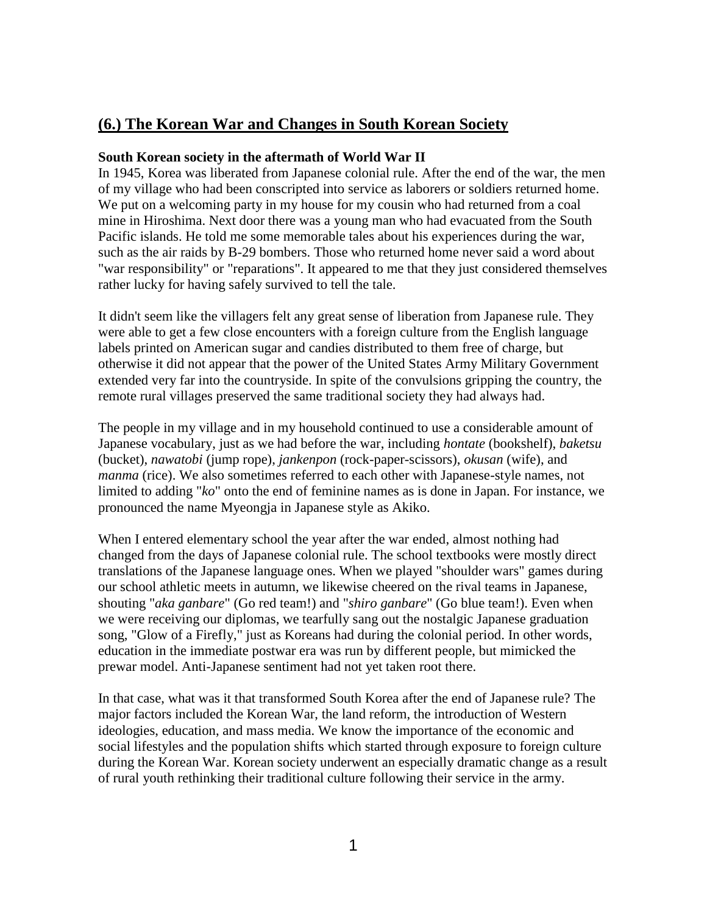# **(6.) The Korean War and Changes in South Korean Society**

## **South Korean society in the aftermath of World War II**

In 1945, Korea was liberated from Japanese colonial rule. After the end of the war, the men of my village who had been conscripted into service as laborers or soldiers returned home. We put on a welcoming party in my house for my cousin who had returned from a coal mine in Hiroshima. Next door there was a young man who had evacuated from the South Pacific islands. He told me some memorable tales about his experiences during the war, such as the air raids by B-29 bombers. Those who returned home never said a word about "war responsibility" or "reparations". It appeared to me that they just considered themselves rather lucky for having safely survived to tell the tale.

It didn't seem like the villagers felt any great sense of liberation from Japanese rule. They were able to get a few close encounters with a foreign culture from the English language labels printed on American sugar and candies distributed to them free of charge, but otherwise it did not appear that the power of the United States Army Military Government extended very far into the countryside. In spite of the convulsions gripping the country, the remote rural villages preserved the same traditional society they had always had.

The people in my village and in my household continued to use a considerable amount of Japanese vocabulary, just as we had before the war, including *hontate* (bookshelf), *baketsu* (bucket), *nawatobi* (jump rope), *jankenpon* (rock-paper-scissors), *okusan* (wife), and *manma* (rice). We also sometimes referred to each other with Japanese-style names, not limited to adding "*ko*" onto the end of feminine names as is done in Japan. For instance, we pronounced the name Myeongja in Japanese style as Akiko.

When I entered elementary school the year after the war ended, almost nothing had changed from the days of Japanese colonial rule. The school textbooks were mostly direct translations of the Japanese language ones. When we played "shoulder wars" games during our school athletic meets in autumn, we likewise cheered on the rival teams in Japanese, shouting "*aka ganbare*" (Go red team!) and "*shiro ganbare*" (Go blue team!). Even when we were receiving our diplomas, we tearfully sang out the nostalgic Japanese graduation song, "Glow of a Firefly," just as Koreans had during the colonial period. In other words, education in the immediate postwar era was run by different people, but mimicked the prewar model. Anti-Japanese sentiment had not yet taken root there.

In that case, what was it that transformed South Korea after the end of Japanese rule? The major factors included the Korean War, the land reform, the introduction of Western ideologies, education, and mass media. We know the importance of the economic and social lifestyles and the population shifts which started through exposure to foreign culture during the Korean War. Korean society underwent an especially dramatic change as a result of rural youth rethinking their traditional culture following their service in the army.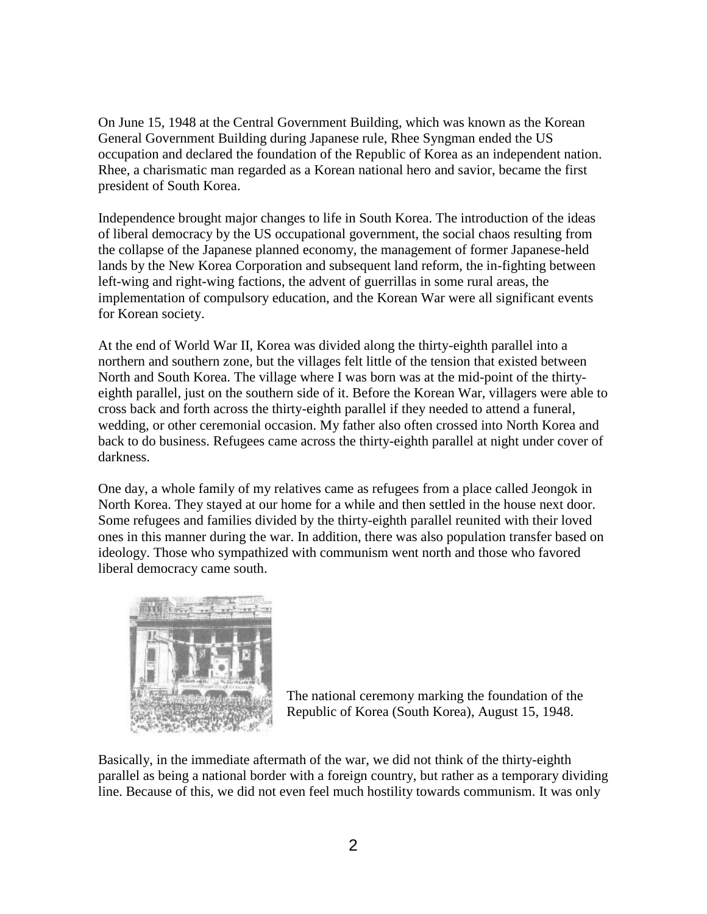On June 15, 1948 at the Central Government Building, which was known as the Korean General Government Building during Japanese rule, Rhee Syngman ended the US occupation and declared the foundation of the Republic of Korea as an independent nation. Rhee, a charismatic man regarded as a Korean national hero and savior, became the first president of South Korea.

Independence brought major changes to life in South Korea. The introduction of the ideas of liberal democracy by the US occupational government, the social chaos resulting from the collapse of the Japanese planned economy, the management of former Japanese-held lands by the New Korea Corporation and subsequent land reform, the in-fighting between left-wing and right-wing factions, the advent of guerrillas in some rural areas, the implementation of compulsory education, and the Korean War were all significant events for Korean society.

At the end of World War II, Korea was divided along the thirty-eighth parallel into a northern and southern zone, but the villages felt little of the tension that existed between North and South Korea. The village where I was born was at the mid-point of the thirtyeighth parallel, just on the southern side of it. Before the Korean War, villagers were able to cross back and forth across the thirty-eighth parallel if they needed to attend a funeral, wedding, or other ceremonial occasion. My father also often crossed into North Korea and back to do business. Refugees came across the thirty-eighth parallel at night under cover of darkness.

One day, a whole family of my relatives came as refugees from a place called Jeongok in North Korea. They stayed at our home for a while and then settled in the house next door. Some refugees and families divided by the thirty-eighth parallel reunited with their loved ones in this manner during the war. In addition, there was also population transfer based on ideology. Those who sympathized with communism went north and those who favored liberal democracy came south.



The national ceremony marking the foundation of the Republic of Korea (South Korea), August 15, 1948.

Basically, in the immediate aftermath of the war, we did not think of the thirty-eighth parallel as being a national border with a foreign country, but rather as a temporary dividing line. Because of this, we did not even feel much hostility towards communism. It was only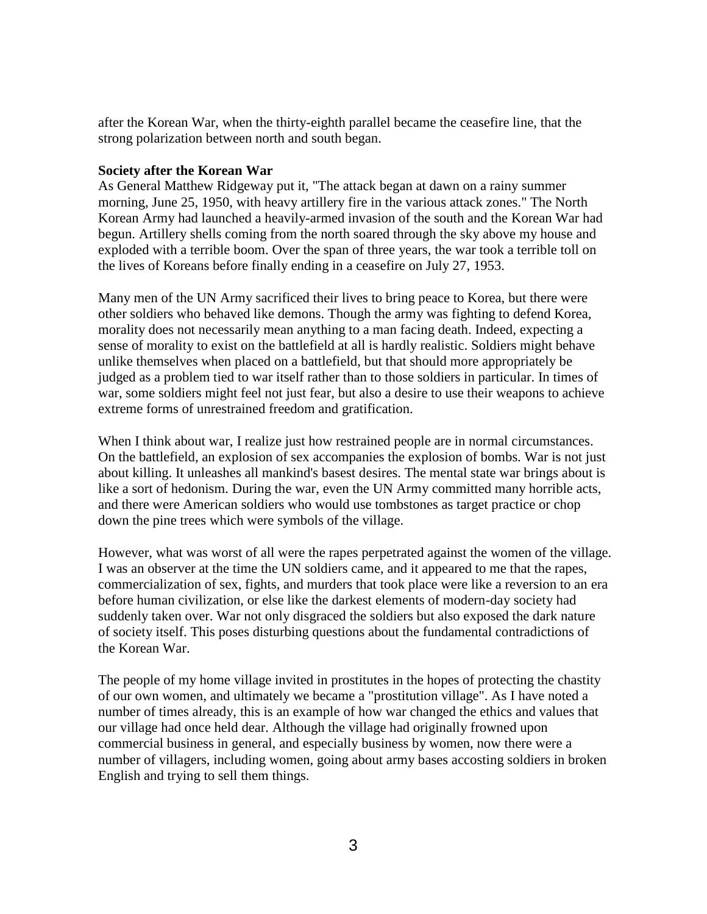after the Korean War, when the thirty-eighth parallel became the ceasefire line, that the strong polarization between north and south began.

#### **Society after the Korean War**

As General Matthew Ridgeway put it, "The attack began at dawn on a rainy summer morning, June 25, 1950, with heavy artillery fire in the various attack zones." The North Korean Army had launched a heavily-armed invasion of the south and the Korean War had begun. Artillery shells coming from the north soared through the sky above my house and exploded with a terrible boom. Over the span of three years, the war took a terrible toll on the lives of Koreans before finally ending in a ceasefire on July 27, 1953.

Many men of the UN Army sacrificed their lives to bring peace to Korea, but there were other soldiers who behaved like demons. Though the army was fighting to defend Korea, morality does not necessarily mean anything to a man facing death. Indeed, expecting a sense of morality to exist on the battlefield at all is hardly realistic. Soldiers might behave unlike themselves when placed on a battlefield, but that should more appropriately be judged as a problem tied to war itself rather than to those soldiers in particular. In times of war, some soldiers might feel not just fear, but also a desire to use their weapons to achieve extreme forms of unrestrained freedom and gratification.

When I think about war, I realize just how restrained people are in normal circumstances. On the battlefield, an explosion of sex accompanies the explosion of bombs. War is not just about killing. It unleashes all mankind's basest desires. The mental state war brings about is like a sort of hedonism. During the war, even the UN Army committed many horrible acts, and there were American soldiers who would use tombstones as target practice or chop down the pine trees which were symbols of the village.

However, what was worst of all were the rapes perpetrated against the women of the village. I was an observer at the time the UN soldiers came, and it appeared to me that the rapes, commercialization of sex, fights, and murders that took place were like a reversion to an era before human civilization, or else like the darkest elements of modern-day society had suddenly taken over. War not only disgraced the soldiers but also exposed the dark nature of society itself. This poses disturbing questions about the fundamental contradictions of the Korean War.

The people of my home village invited in prostitutes in the hopes of protecting the chastity of our own women, and ultimately we became a "prostitution village". As I have noted a number of times already, this is an example of how war changed the ethics and values that our village had once held dear. Although the village had originally frowned upon commercial business in general, and especially business by women, now there were a number of villagers, including women, going about army bases accosting soldiers in broken English and trying to sell them things.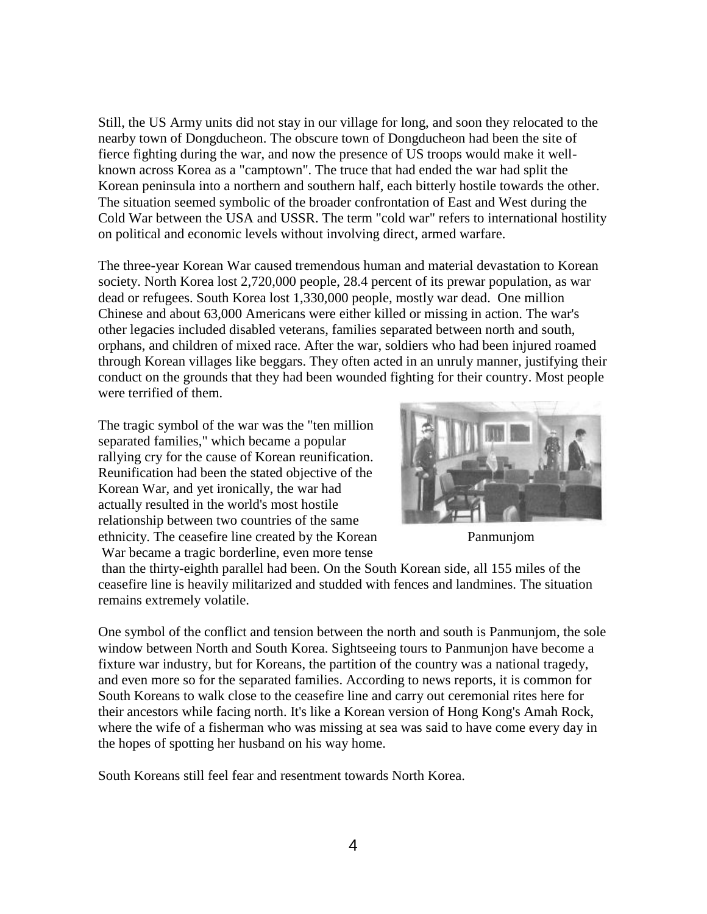Still, the US Army units did not stay in our village for long, and soon they relocated to the nearby town of Dongducheon. The obscure town of Dongducheon had been the site of fierce fighting during the war, and now the presence of US troops would make it wellknown across Korea as a "camptown". The truce that had ended the war had split the Korean peninsula into a northern and southern half, each bitterly hostile towards the other. The situation seemed symbolic of the broader confrontation of East and West during the Cold War between the USA and USSR. The term "cold war" refers to international hostility on political and economic levels without involving direct, armed warfare.

The three-year Korean War caused tremendous human and material devastation to Korean society. North Korea lost 2,720,000 people, 28.4 percent of its prewar population, as war dead or refugees. South Korea lost 1,330,000 people, mostly war dead. One million Chinese and about 63,000 Americans were either killed or missing in action. The war's other legacies included disabled veterans, families separated between north and south, orphans, and children of mixed race. After the war, soldiers who had been injured roamed through Korean villages like beggars. They often acted in an unruly manner, justifying their conduct on the grounds that they had been wounded fighting for their country. Most people were terrified of them.

The tragic symbol of the war was the "ten million separated families," which became a popular rallying cry for the cause of Korean reunification. Reunification had been the stated objective of the Korean War, and yet ironically, the war had actually resulted in the world's most hostile relationship between two countries of the same ethnicity. The ceasefire line created by the Korean Panmunjom War became a tragic borderline, even more tense



than the thirty-eighth parallel had been. On the South Korean side, all 155 miles of the ceasefire line is heavily militarized and studded with fences and landmines. The situation remains extremely volatile.

One symbol of the conflict and tension between the north and south is Panmunjom, the sole window between North and South Korea. Sightseeing tours to Panmunjon have become a fixture war industry, but for Koreans, the partition of the country was a national tragedy, and even more so for the separated families. According to news reports, it is common for South Koreans to walk close to the ceasefire line and carry out ceremonial rites here for their ancestors while facing north. It's like a Korean version of Hong Kong's Amah Rock, where the wife of a fisherman who was missing at sea was said to have come every day in the hopes of spotting her husband on his way home.

South Koreans still feel fear and resentment towards North Korea.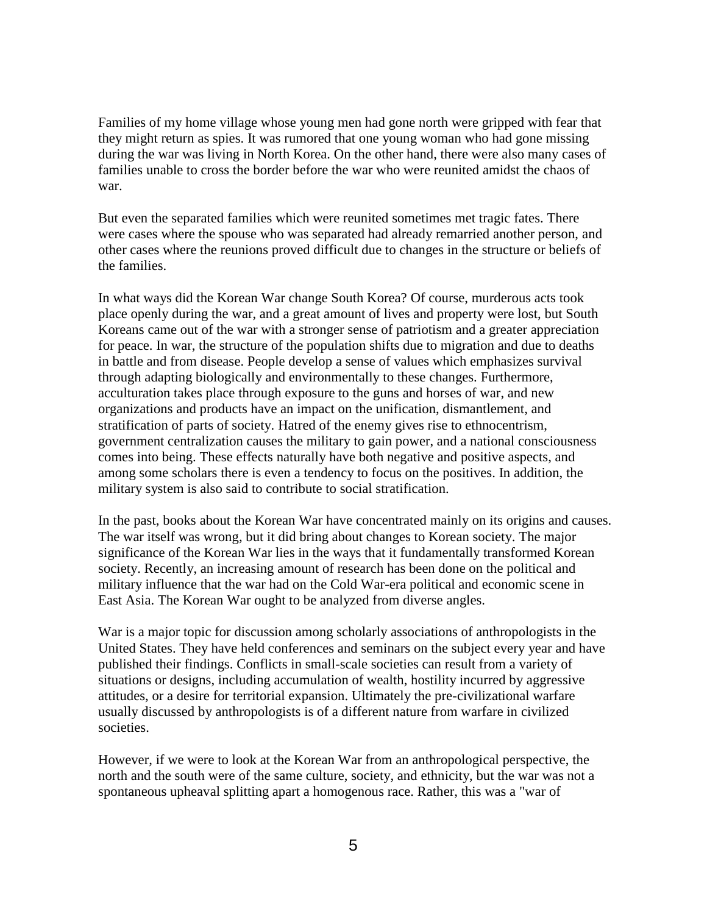Families of my home village whose young men had gone north were gripped with fear that they might return as spies. It was rumored that one young woman who had gone missing during the war was living in North Korea. On the other hand, there were also many cases of families unable to cross the border before the war who were reunited amidst the chaos of war.

But even the separated families which were reunited sometimes met tragic fates. There were cases where the spouse who was separated had already remarried another person, and other cases where the reunions proved difficult due to changes in the structure or beliefs of the families.

In what ways did the Korean War change South Korea? Of course, murderous acts took place openly during the war, and a great amount of lives and property were lost, but South Koreans came out of the war with a stronger sense of patriotism and a greater appreciation for peace. In war, the structure of the population shifts due to migration and due to deaths in battle and from disease. People develop a sense of values which emphasizes survival through adapting biologically and environmentally to these changes. Furthermore, acculturation takes place through exposure to the guns and horses of war, and new organizations and products have an impact on the unification, dismantlement, and stratification of parts of society. Hatred of the enemy gives rise to ethnocentrism, government centralization causes the military to gain power, and a national consciousness comes into being. These effects naturally have both negative and positive aspects, and among some scholars there is even a tendency to focus on the positives. In addition, the military system is also said to contribute to social stratification.

In the past, books about the Korean War have concentrated mainly on its origins and causes. The war itself was wrong, but it did bring about changes to Korean society. The major significance of the Korean War lies in the ways that it fundamentally transformed Korean society. Recently, an increasing amount of research has been done on the political and military influence that the war had on the Cold War-era political and economic scene in East Asia. The Korean War ought to be analyzed from diverse angles.

War is a major topic for discussion among scholarly associations of anthropologists in the United States. They have held conferences and seminars on the subject every year and have published their findings. Conflicts in small-scale societies can result from a variety of situations or designs, including accumulation of wealth, hostility incurred by aggressive attitudes, or a desire for territorial expansion. Ultimately the pre-civilizational warfare usually discussed by anthropologists is of a different nature from warfare in civilized societies.

However, if we were to look at the Korean War from an anthropological perspective, the north and the south were of the same culture, society, and ethnicity, but the war was not a spontaneous upheaval splitting apart a homogenous race. Rather, this was a "war of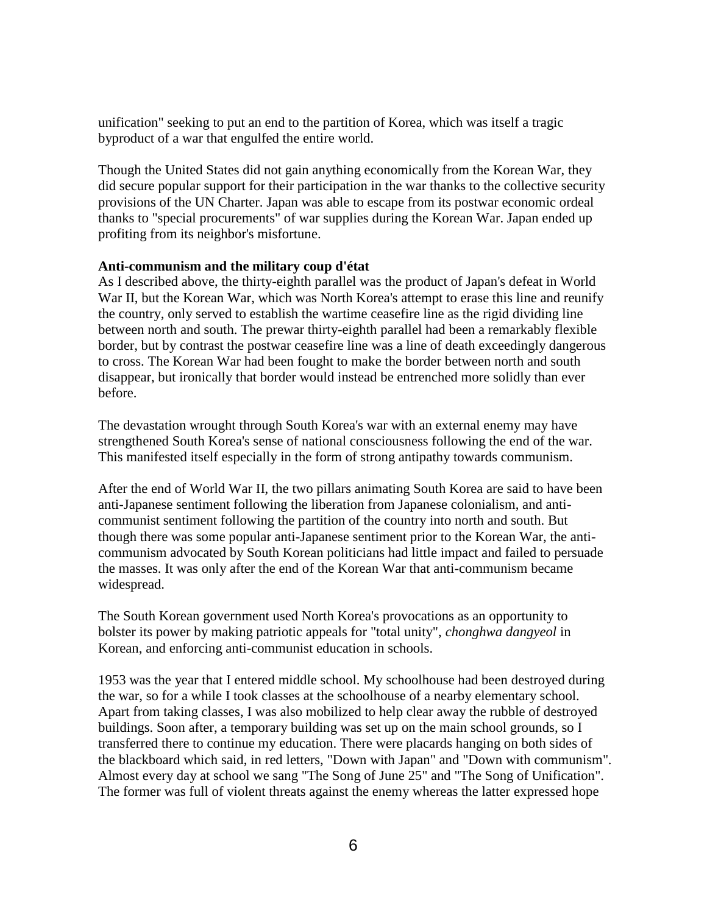unification" seeking to put an end to the partition of Korea, which was itself a tragic byproduct of a war that engulfed the entire world.

Though the United States did not gain anything economically from the Korean War, they did secure popular support for their participation in the war thanks to the collective security provisions of the UN Charter. Japan was able to escape from its postwar economic ordeal thanks to "special procurements" of war supplies during the Korean War. Japan ended up profiting from its neighbor's misfortune.

#### **Anti-communism and the military coup d'état**

As I described above, the thirty-eighth parallel was the product of Japan's defeat in World War II, but the Korean War, which was North Korea's attempt to erase this line and reunify the country, only served to establish the wartime ceasefire line as the rigid dividing line between north and south. The prewar thirty-eighth parallel had been a remarkably flexible border, but by contrast the postwar ceasefire line was a line of death exceedingly dangerous to cross. The Korean War had been fought to make the border between north and south disappear, but ironically that border would instead be entrenched more solidly than ever before.

The devastation wrought through South Korea's war with an external enemy may have strengthened South Korea's sense of national consciousness following the end of the war. This manifested itself especially in the form of strong antipathy towards communism.

After the end of World War II, the two pillars animating South Korea are said to have been anti-Japanese sentiment following the liberation from Japanese colonialism, and anticommunist sentiment following the partition of the country into north and south. But though there was some popular anti-Japanese sentiment prior to the Korean War, the anticommunism advocated by South Korean politicians had little impact and failed to persuade the masses. It was only after the end of the Korean War that anti-communism became widespread.

The South Korean government used North Korea's provocations as an opportunity to bolster its power by making patriotic appeals for "total unity", *chonghwa dangyeol* in Korean, and enforcing anti-communist education in schools.

1953 was the year that I entered middle school. My schoolhouse had been destroyed during the war, so for a while I took classes at the schoolhouse of a nearby elementary school. Apart from taking classes, I was also mobilized to help clear away the rubble of destroyed buildings. Soon after, a temporary building was set up on the main school grounds, so I transferred there to continue my education. There were placards hanging on both sides of the blackboard which said, in red letters, "Down with Japan" and "Down with communism". Almost every day at school we sang "The Song of June 25" and "The Song of Unification". The former was full of violent threats against the enemy whereas the latter expressed hope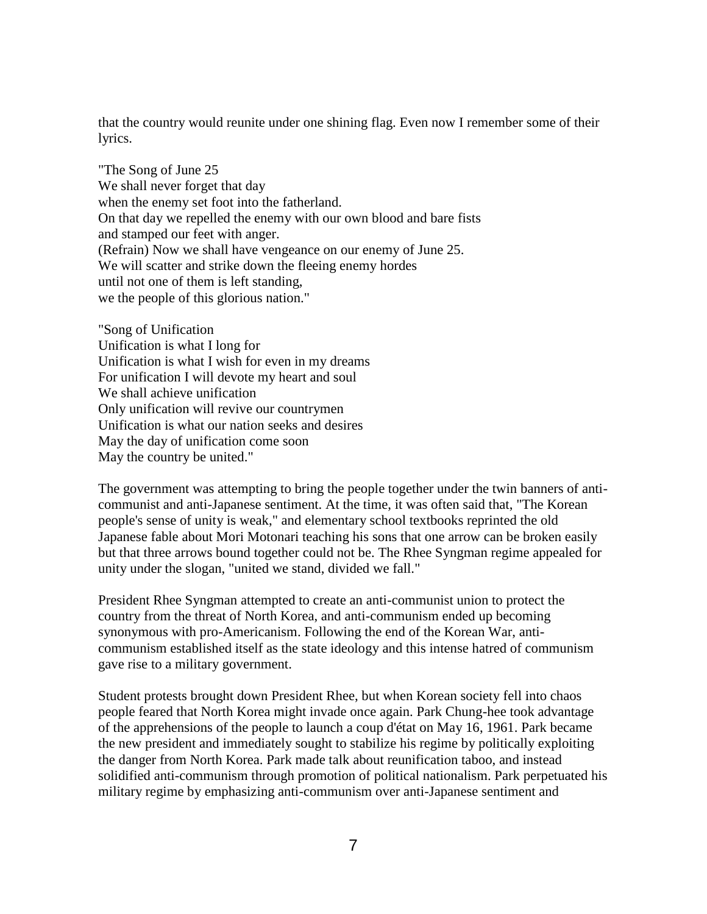that the country would reunite under one shining flag. Even now I remember some of their lyrics.

"The Song of June 25 We shall never forget that day when the enemy set foot into the fatherland. On that day we repelled the enemy with our own blood and bare fists and stamped our feet with anger. (Refrain) Now we shall have vengeance on our enemy of June 25. We will scatter and strike down the fleeing enemy hordes until not one of them is left standing, we the people of this glorious nation."

"Song of Unification Unification is what I long for Unification is what I wish for even in my dreams For unification I will devote my heart and soul We shall achieve unification Only unification will revive our countrymen Unification is what our nation seeks and desires May the day of unification come soon May the country be united."

The government was attempting to bring the people together under the twin banners of anticommunist and anti-Japanese sentiment. At the time, it was often said that, "The Korean people's sense of unity is weak," and elementary school textbooks reprinted the old Japanese fable about Mori Motonari teaching his sons that one arrow can be broken easily but that three arrows bound together could not be. The Rhee Syngman regime appealed for unity under the slogan, "united we stand, divided we fall."

President Rhee Syngman attempted to create an anti-communist union to protect the country from the threat of North Korea, and anti-communism ended up becoming synonymous with pro-Americanism. Following the end of the Korean War, anticommunism established itself as the state ideology and this intense hatred of communism gave rise to a military government.

Student protests brought down President Rhee, but when Korean society fell into chaos people feared that North Korea might invade once again. Park Chung-hee took advantage of the apprehensions of the people to launch a coup d'état on May 16, 1961. Park became the new president and immediately sought to stabilize his regime by politically exploiting the danger from North Korea. Park made talk about reunification taboo, and instead solidified anti-communism through promotion of political nationalism. Park perpetuated his military regime by emphasizing anti-communism over anti-Japanese sentiment and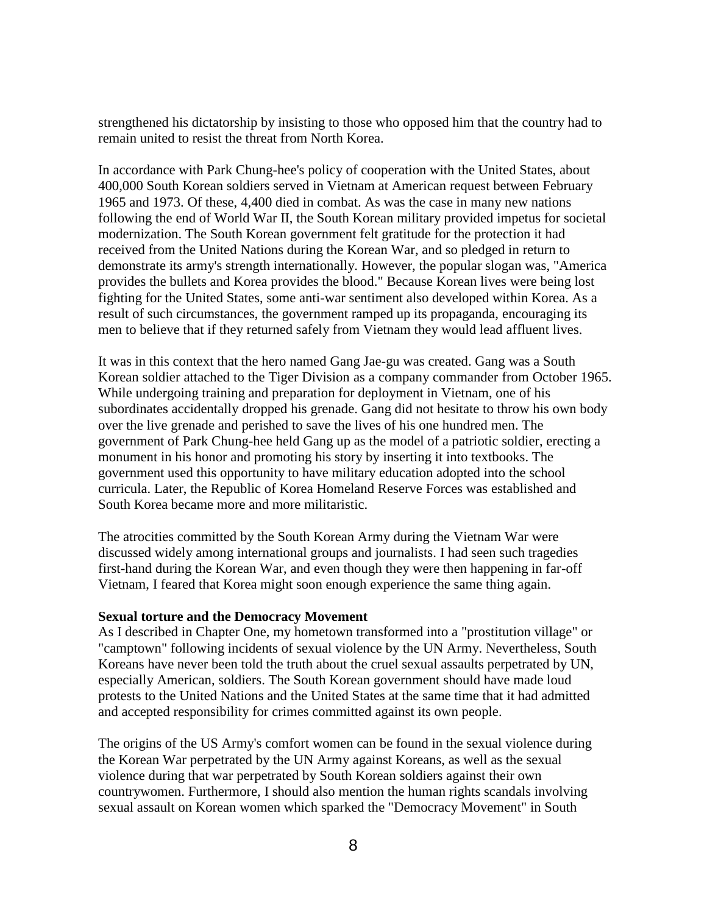strengthened his dictatorship by insisting to those who opposed him that the country had to remain united to resist the threat from North Korea.

In accordance with Park Chung-hee's policy of cooperation with the United States, about 400,000 South Korean soldiers served in Vietnam at American request between February 1965 and 1973. Of these, 4,400 died in combat. As was the case in many new nations following the end of World War II, the South Korean military provided impetus for societal modernization. The South Korean government felt gratitude for the protection it had received from the United Nations during the Korean War, and so pledged in return to demonstrate its army's strength internationally. However, the popular slogan was, "America provides the bullets and Korea provides the blood." Because Korean lives were being lost fighting for the United States, some anti-war sentiment also developed within Korea. As a result of such circumstances, the government ramped up its propaganda, encouraging its men to believe that if they returned safely from Vietnam they would lead affluent lives.

It was in this context that the hero named Gang Jae-gu was created. Gang was a South Korean soldier attached to the Tiger Division as a company commander from October 1965. While undergoing training and preparation for deployment in Vietnam, one of his subordinates accidentally dropped his grenade. Gang did not hesitate to throw his own body over the live grenade and perished to save the lives of his one hundred men. The government of Park Chung-hee held Gang up as the model of a patriotic soldier, erecting a monument in his honor and promoting his story by inserting it into textbooks. The government used this opportunity to have military education adopted into the school curricula. Later, the Republic of Korea Homeland Reserve Forces was established and South Korea became more and more militaristic.

The atrocities committed by the South Korean Army during the Vietnam War were discussed widely among international groups and journalists. I had seen such tragedies first-hand during the Korean War, and even though they were then happening in far-off Vietnam, I feared that Korea might soon enough experience the same thing again.

#### **Sexual torture and the Democracy Movement**

As I described in Chapter One, my hometown transformed into a "prostitution village" or "camptown" following incidents of sexual violence by the UN Army. Nevertheless, South Koreans have never been told the truth about the cruel sexual assaults perpetrated by UN, especially American, soldiers. The South Korean government should have made loud protests to the United Nations and the United States at the same time that it had admitted and accepted responsibility for crimes committed against its own people.

The origins of the US Army's comfort women can be found in the sexual violence during the Korean War perpetrated by the UN Army against Koreans, as well as the sexual violence during that war perpetrated by South Korean soldiers against their own countrywomen. Furthermore, I should also mention the human rights scandals involving sexual assault on Korean women which sparked the "Democracy Movement" in South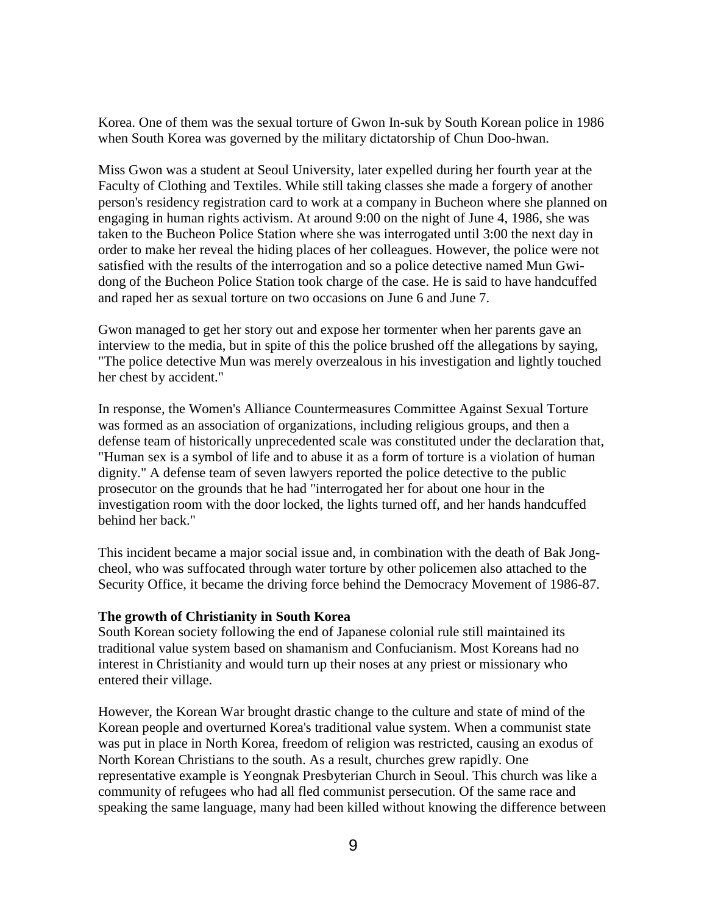Korea. One of them was the sexual torture of Gwon In-suk by South Korean police in 1986 when South Korea was governed by the military dictatorship of Chun Doo-hwan.

Miss Gwon was a student at Seoul University, later expelled during her fourth year at the Faculty of Clothing and Textiles. While still taking classes she made a forgery of another person's residency registration card to work at a company in Bucheon where she planned on engaging in human rights activism. At around 9:00 on the night of June 4, 1986, she was taken to the Bucheon Police Station where she was interrogated until 3:00 the next day in order to make her reveal the hiding places of her colleagues. However, the police were not satisfied with the results of the interrogation and so a police detective named Mun Gwidong of the Bucheon Police Station took charge of the case. He is said to have handcuffed and raped her as sexual torture on two occasions on June 6 and June 7.

Gwon managed to get her story out and expose her tormenter when her parents gave an interview to the media, but in spite of this the police brushed off the allegations by saying, "The police detective Mun was merely overzealous in his investigation and lightly touched her chest by accident."

In response, the Women's Alliance Countermeasures Committee Against Sexual Torture was formed as an association of organizations, including religious groups, and then a defense team of historically unprecedented scale was constituted under the declaration that, "Human sex is a symbol of life and to abuse it as a form of torture is a violation of human dignity." A defense team of seven lawyers reported the police detective to the public prosecutor on the grounds that he had "interrogated her for about one hour in the investigation room with the door locked, the lights turned off, and her hands handcuffed behind her back."

This incident became a major social issue and, in combination with the death of Bak Jongcheol, who was suffocated through water torture by other policemen also attached to the Security Office, it became the driving force behind the Democracy Movement of 1986-87.

#### **The growth of Christianity in South Korea**

South Korean society following the end of Japanese colonial rule still maintained its traditional value system based on shamanism and Confucianism. Most Koreans had no interest in Christianity and would turn up their noses at any priest or missionary who entered their village.

However, the Korean War brought drastic change to the culture and state of mind of the Korean people and overturned Korea's traditional value system. When a communist state was put in place in North Korea, freedom of religion was restricted, causing an exodus of North Korean Christians to the south. As a result, churches grew rapidly. One representative example is Yeongnak Presbyterian Church in Seoul. This church was like a community of refugees who had all fled communist persecution. Of the same race and speaking the same language, many had been killed without knowing the difference between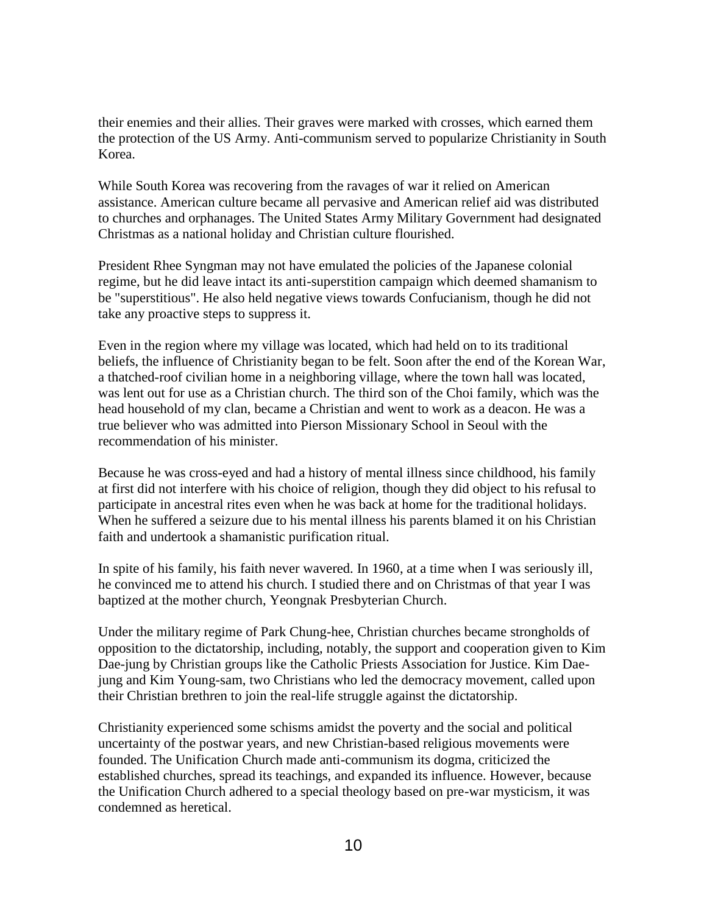their enemies and their allies. Their graves were marked with crosses, which earned them the protection of the US Army. Anti-communism served to popularize Christianity in South Korea.

While South Korea was recovering from the ravages of war it relied on American assistance. American culture became all pervasive and American relief aid was distributed to churches and orphanages. The United States Army Military Government had designated Christmas as a national holiday and Christian culture flourished.

President Rhee Syngman may not have emulated the policies of the Japanese colonial regime, but he did leave intact its anti-superstition campaign which deemed shamanism to be "superstitious". He also held negative views towards Confucianism, though he did not take any proactive steps to suppress it.

Even in the region where my village was located, which had held on to its traditional beliefs, the influence of Christianity began to be felt. Soon after the end of the Korean War, a thatched-roof civilian home in a neighboring village, where the town hall was located, was lent out for use as a Christian church. The third son of the Choi family, which was the head household of my clan, became a Christian and went to work as a deacon. He was a true believer who was admitted into Pierson Missionary School in Seoul with the recommendation of his minister.

Because he was cross-eyed and had a history of mental illness since childhood, his family at first did not interfere with his choice of religion, though they did object to his refusal to participate in ancestral rites even when he was back at home for the traditional holidays. When he suffered a seizure due to his mental illness his parents blamed it on his Christian faith and undertook a shamanistic purification ritual.

In spite of his family, his faith never wavered. In 1960, at a time when I was seriously ill, he convinced me to attend his church. I studied there and on Christmas of that year I was baptized at the mother church, Yeongnak Presbyterian Church.

Under the military regime of Park Chung-hee, Christian churches became strongholds of opposition to the dictatorship, including, notably, the support and cooperation given to Kim Dae-jung by Christian groups like the Catholic Priests Association for Justice. Kim Daejung and Kim Young-sam, two Christians who led the democracy movement, called upon their Christian brethren to join the real-life struggle against the dictatorship.

Christianity experienced some schisms amidst the poverty and the social and political uncertainty of the postwar years, and new Christian-based religious movements were founded. The Unification Church made anti-communism its dogma, criticized the established churches, spread its teachings, and expanded its influence. However, because the Unification Church adhered to a special theology based on pre-war mysticism, it was condemned as heretical.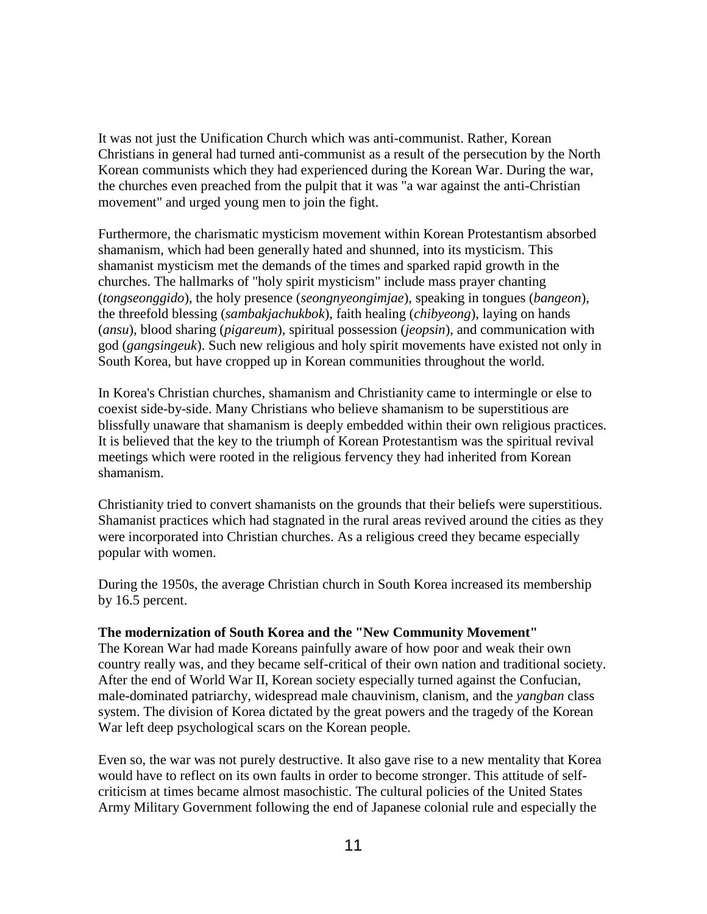It was not just the Unification Church which was anti-communist. Rather, Korean Christians in general had turned anti-communist as a result of the persecution by the North Korean communists which they had experienced during the Korean War. During the war, the churches even preached from the pulpit that it was "a war against the anti-Christian movement" and urged young men to join the fight.

Furthermore, the charismatic mysticism movement within Korean Protestantism absorbed shamanism, which had been generally hated and shunned, into its mysticism. This shamanist mysticism met the demands of the times and sparked rapid growth in the churches. The hallmarks of "holy spirit mysticism" include mass prayer chanting (*tongseonggido*), the holy presence (*seongnyeongimjae*), speaking in tongues (*bangeon*), the threefold blessing (*sambakjachukbok*), faith healing (*chibyeong*), laying on hands (*ansu*), blood sharing (*pigareum*), spiritual possession (*jeopsin*), and communication with god (*gangsingeuk*). Such new religious and holy spirit movements have existed not only in South Korea, but have cropped up in Korean communities throughout the world.

In Korea's Christian churches, shamanism and Christianity came to intermingle or else to coexist side-by-side. Many Christians who believe shamanism to be superstitious are blissfully unaware that shamanism is deeply embedded within their own religious practices. It is believed that the key to the triumph of Korean Protestantism was the spiritual revival meetings which were rooted in the religious fervency they had inherited from Korean shamanism.

Christianity tried to convert shamanists on the grounds that their beliefs were superstitious. Shamanist practices which had stagnated in the rural areas revived around the cities as they were incorporated into Christian churches. As a religious creed they became especially popular with women.

During the 1950s, the average Christian church in South Korea increased its membership by 16.5 percent.

## **The modernization of South Korea and the "New Community Movement"**

The Korean War had made Koreans painfully aware of how poor and weak their own country really was, and they became self-critical of their own nation and traditional society. After the end of World War II, Korean society especially turned against the Confucian, male-dominated patriarchy, widespread male chauvinism, clanism, and the *yangban* class system. The division of Korea dictated by the great powers and the tragedy of the Korean War left deep psychological scars on the Korean people.

Even so, the war was not purely destructive. It also gave rise to a new mentality that Korea would have to reflect on its own faults in order to become stronger. This attitude of selfcriticism at times became almost masochistic. The cultural policies of the United States Army Military Government following the end of Japanese colonial rule and especially the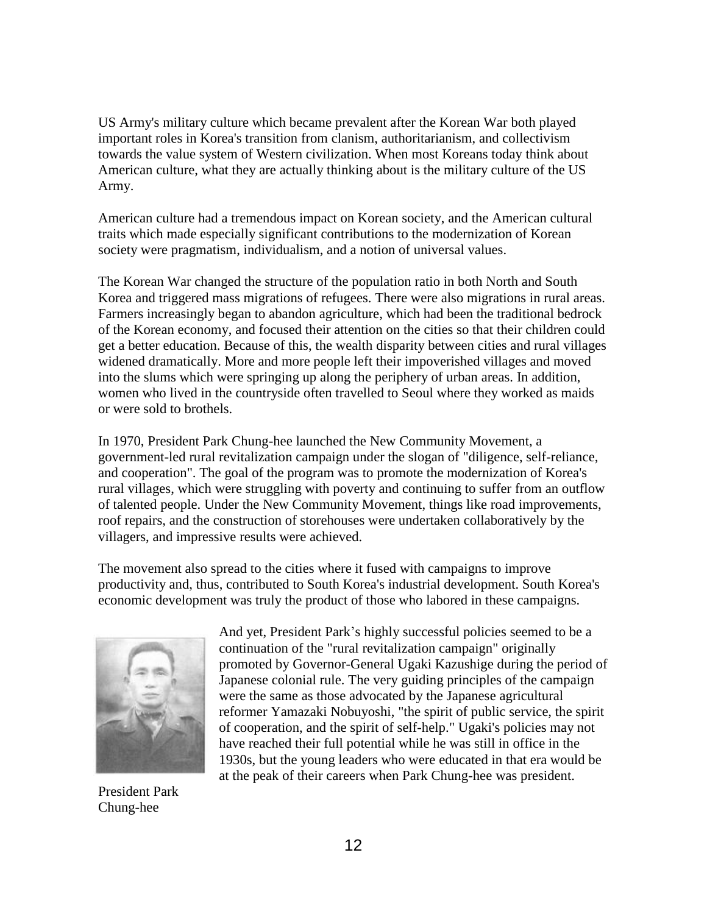US Army's military culture which became prevalent after the Korean War both played important roles in Korea's transition from clanism, authoritarianism, and collectivism towards the value system of Western civilization. When most Koreans today think about American culture, what they are actually thinking about is the military culture of the US Army.

American culture had a tremendous impact on Korean society, and the American cultural traits which made especially significant contributions to the modernization of Korean society were pragmatism, individualism, and a notion of universal values.

The Korean War changed the structure of the population ratio in both North and South Korea and triggered mass migrations of refugees. There were also migrations in rural areas. Farmers increasingly began to abandon agriculture, which had been the traditional bedrock of the Korean economy, and focused their attention on the cities so that their children could get a better education. Because of this, the wealth disparity between cities and rural villages widened dramatically. More and more people left their impoverished villages and moved into the slums which were springing up along the periphery of urban areas. In addition, women who lived in the countryside often travelled to Seoul where they worked as maids or were sold to brothels.

In 1970, President Park Chung-hee launched the New Community Movement, a government-led rural revitalization campaign under the slogan of "diligence, self-reliance, and cooperation". The goal of the program was to promote the modernization of Korea's rural villages, which were struggling with poverty and continuing to suffer from an outflow of talented people. Under the New Community Movement, things like road improvements, roof repairs, and the construction of storehouses were undertaken collaboratively by the villagers, and impressive results were achieved.

The movement also spread to the cities where it fused with campaigns to improve productivity and, thus, contributed to South Korea's industrial development. South Korea's economic development was truly the product of those who labored in these campaigns.



President Park Chung-hee

And yet, President Park's highly successful policies seemed to be a continuation of the "rural revitalization campaign" originally promoted by Governor-General Ugaki Kazushige during the period of Japanese colonial rule. The very guiding principles of the campaign were the same as those advocated by the Japanese agricultural reformer Yamazaki Nobuyoshi, "the spirit of public service, the spirit of cooperation, and the spirit of self-help." Ugaki's policies may not have reached their full potential while he was still in office in the 1930s, but the young leaders who were educated in that era would be at the peak of their careers when Park Chung-hee was president.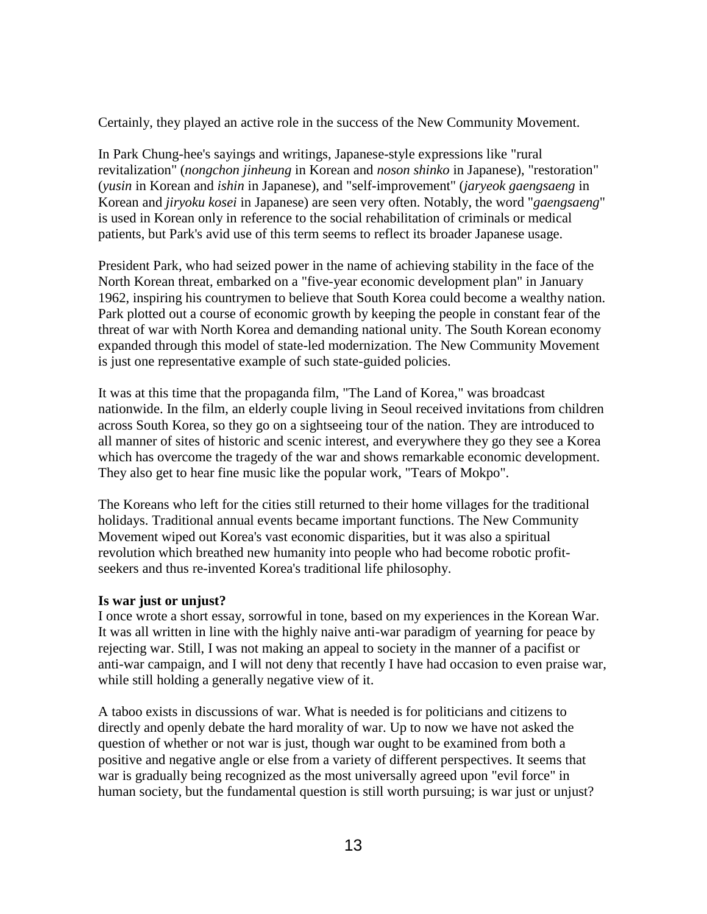Certainly, they played an active role in the success of the New Community Movement.

In Park Chung-hee's sayings and writings, Japanese-style expressions like "rural revitalization" (*nongchon jinheung* in Korean and *noson shinko* in Japanese), "restoration" (*yusin* in Korean and *ishin* in Japanese), and "self-improvement" (*jaryeok gaengsaeng* in Korean and *jiryoku kosei* in Japanese) are seen very often. Notably, the word "*gaengsaeng*" is used in Korean only in reference to the social rehabilitation of criminals or medical patients, but Park's avid use of this term seems to reflect its broader Japanese usage.

President Park, who had seized power in the name of achieving stability in the face of the North Korean threat, embarked on a "five-year economic development plan" in January 1962, inspiring his countrymen to believe that South Korea could become a wealthy nation. Park plotted out a course of economic growth by keeping the people in constant fear of the threat of war with North Korea and demanding national unity. The South Korean economy expanded through this model of state-led modernization. The New Community Movement is just one representative example of such state-guided policies.

It was at this time that the propaganda film, "The Land of Korea," was broadcast nationwide. In the film, an elderly couple living in Seoul received invitations from children across South Korea, so they go on a sightseeing tour of the nation. They are introduced to all manner of sites of historic and scenic interest, and everywhere they go they see a Korea which has overcome the tragedy of the war and shows remarkable economic development. They also get to hear fine music like the popular work, "Tears of Mokpo".

The Koreans who left for the cities still returned to their home villages for the traditional holidays. Traditional annual events became important functions. The New Community Movement wiped out Korea's vast economic disparities, but it was also a spiritual revolution which breathed new humanity into people who had become robotic profitseekers and thus re-invented Korea's traditional life philosophy.

## **Is war just or unjust?**

I once wrote a short essay, sorrowful in tone, based on my experiences in the Korean War. It was all written in line with the highly naive anti-war paradigm of yearning for peace by rejecting war. Still, I was not making an appeal to society in the manner of a pacifist or anti-war campaign, and I will not deny that recently I have had occasion to even praise war, while still holding a generally negative view of it.

A taboo exists in discussions of war. What is needed is for politicians and citizens to directly and openly debate the hard morality of war. Up to now we have not asked the question of whether or not war is just, though war ought to be examined from both a positive and negative angle or else from a variety of different perspectives. It seems that war is gradually being recognized as the most universally agreed upon "evil force" in human society, but the fundamental question is still worth pursuing; is war just or unjust?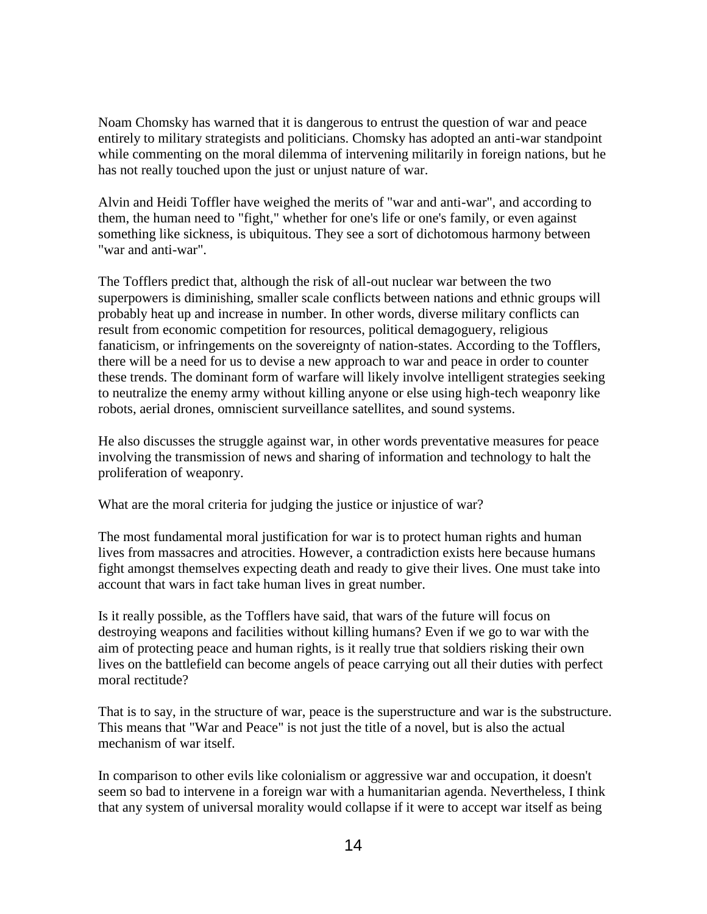Noam Chomsky has warned that it is dangerous to entrust the question of war and peace entirely to military strategists and politicians. Chomsky has adopted an anti-war standpoint while commenting on the moral dilemma of intervening militarily in foreign nations, but he has not really touched upon the just or unjust nature of war.

Alvin and Heidi Toffler have weighed the merits of "war and anti-war", and according to them, the human need to "fight," whether for one's life or one's family, or even against something like sickness, is ubiquitous. They see a sort of dichotomous harmony between "war and anti-war".

The Tofflers predict that, although the risk of all-out nuclear war between the two superpowers is diminishing, smaller scale conflicts between nations and ethnic groups will probably heat up and increase in number. In other words, diverse military conflicts can result from economic competition for resources, political demagoguery, religious fanaticism, or infringements on the sovereignty of nation-states. According to the Tofflers, there will be a need for us to devise a new approach to war and peace in order to counter these trends. The dominant form of warfare will likely involve intelligent strategies seeking to neutralize the enemy army without killing anyone or else using high-tech weaponry like robots, aerial drones, omniscient surveillance satellites, and sound systems.

He also discusses the struggle against war, in other words preventative measures for peace involving the transmission of news and sharing of information and technology to halt the proliferation of weaponry.

What are the moral criteria for judging the justice or injustice of war?

The most fundamental moral justification for war is to protect human rights and human lives from massacres and atrocities. However, a contradiction exists here because humans fight amongst themselves expecting death and ready to give their lives. One must take into account that wars in fact take human lives in great number.

Is it really possible, as the Tofflers have said, that wars of the future will focus on destroying weapons and facilities without killing humans? Even if we go to war with the aim of protecting peace and human rights, is it really true that soldiers risking their own lives on the battlefield can become angels of peace carrying out all their duties with perfect moral rectitude?

That is to say, in the structure of war, peace is the superstructure and war is the substructure. This means that "War and Peace" is not just the title of a novel, but is also the actual mechanism of war itself.

In comparison to other evils like colonialism or aggressive war and occupation, it doesn't seem so bad to intervene in a foreign war with a humanitarian agenda. Nevertheless, I think that any system of universal morality would collapse if it were to accept war itself as being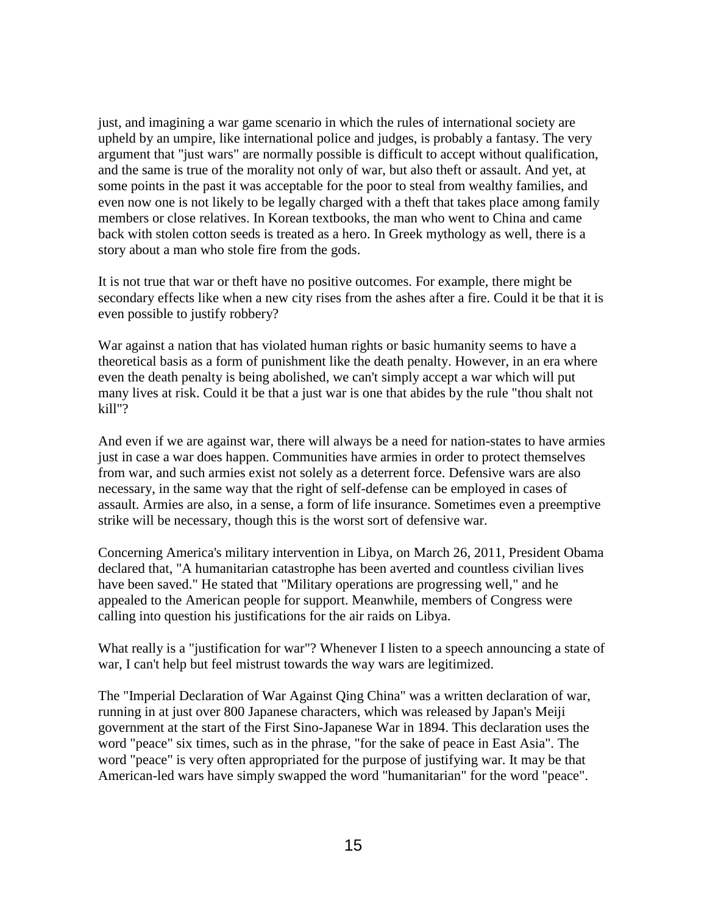just, and imagining a war game scenario in which the rules of international society are upheld by an umpire, like international police and judges, is probably a fantasy. The very argument that "just wars" are normally possible is difficult to accept without qualification, and the same is true of the morality not only of war, but also theft or assault. And yet, at some points in the past it was acceptable for the poor to steal from wealthy families, and even now one is not likely to be legally charged with a theft that takes place among family members or close relatives. In Korean textbooks, the man who went to China and came back with stolen cotton seeds is treated as a hero. In Greek mythology as well, there is a story about a man who stole fire from the gods.

It is not true that war or theft have no positive outcomes. For example, there might be secondary effects like when a new city rises from the ashes after a fire. Could it be that it is even possible to justify robbery?

War against a nation that has violated human rights or basic humanity seems to have a theoretical basis as a form of punishment like the death penalty. However, in an era where even the death penalty is being abolished, we can't simply accept a war which will put many lives at risk. Could it be that a just war is one that abides by the rule "thou shalt not kill"?

And even if we are against war, there will always be a need for nation-states to have armies just in case a war does happen. Communities have armies in order to protect themselves from war, and such armies exist not solely as a deterrent force. Defensive wars are also necessary, in the same way that the right of self-defense can be employed in cases of assault. Armies are also, in a sense, a form of life insurance. Sometimes even a preemptive strike will be necessary, though this is the worst sort of defensive war.

Concerning America's military intervention in Libya, on March 26, 2011, President Obama declared that, "A humanitarian catastrophe has been averted and countless civilian lives have been saved." He stated that "Military operations are progressing well," and he appealed to the American people for support. Meanwhile, members of Congress were calling into question his justifications for the air raids on Libya.

What really is a "justification for war"? Whenever I listen to a speech announcing a state of war, I can't help but feel mistrust towards the way wars are legitimized.

The "Imperial Declaration of War Against Qing China" was a written declaration of war, running in at just over 800 Japanese characters, which was released by Japan's Meiji government at the start of the First Sino-Japanese War in 1894. This declaration uses the word "peace" six times, such as in the phrase, "for the sake of peace in East Asia". The word "peace" is very often appropriated for the purpose of justifying war. It may be that American-led wars have simply swapped the word "humanitarian" for the word "peace".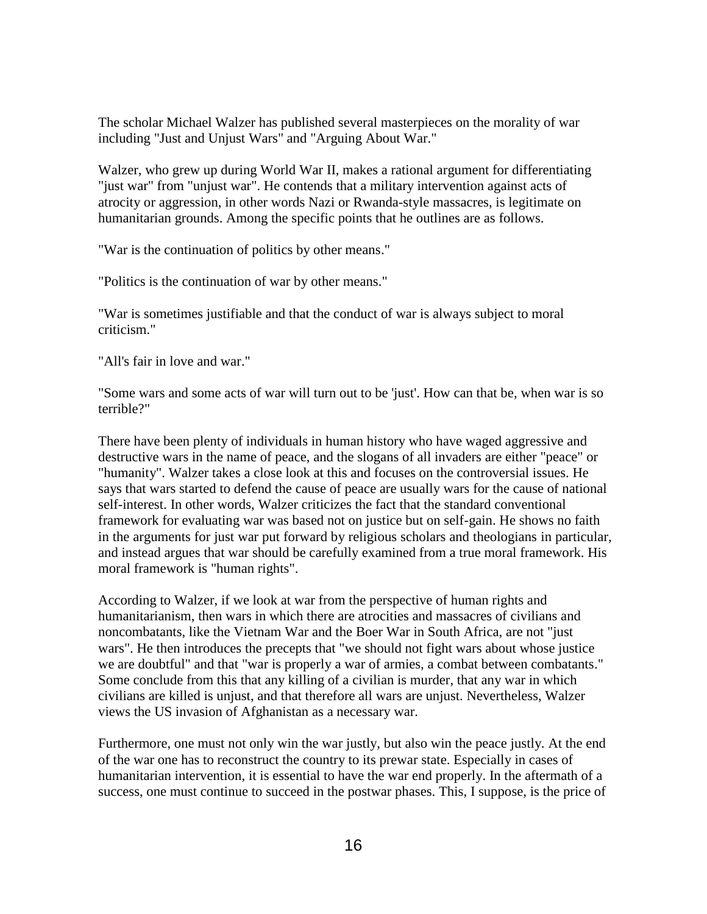The scholar Michael Walzer has published several masterpieces on the morality of war including "Just and Unjust Wars" and "Arguing About War."

Walzer, who grew up during World War II, makes a rational argument for differentiating "just war" from "unjust war". He contends that a military intervention against acts of atrocity or aggression, in other words Nazi or Rwanda-style massacres, is legitimate on humanitarian grounds. Among the specific points that he outlines are as follows.

"War is the continuation of politics by other means."

"Politics is the continuation of war by other means."

"War is sometimes justifiable and that the conduct of war is always subject to moral criticism."

"All's fair in love and war."

"Some wars and some acts of war will turn out to be 'just'. How can that be, when war is so terrible?"

There have been plenty of individuals in human history who have waged aggressive and destructive wars in the name of peace, and the slogans of all invaders are either "peace" or "humanity". Walzer takes a close look at this and focuses on the controversial issues. He says that wars started to defend the cause of peace are usually wars for the cause of national self-interest. In other words, Walzer criticizes the fact that the standard conventional framework for evaluating war was based not on justice but on self-gain. He shows no faith in the arguments for just war put forward by religious scholars and theologians in particular, and instead argues that war should be carefully examined from a true moral framework. His moral framework is "human rights".

According to Walzer, if we look at war from the perspective of human rights and humanitarianism, then wars in which there are atrocities and massacres of civilians and noncombatants, like the Vietnam War and the Boer War in South Africa, are not "just wars". He then introduces the precepts that "we should not fight wars about whose justice we are doubtful" and that "war is properly a war of armies, a combat between combatants." Some conclude from this that any killing of a civilian is murder, that any war in which civilians are killed is unjust, and that therefore all wars are unjust. Nevertheless, Walzer views the US invasion of Afghanistan as a necessary war.

Furthermore, one must not only win the war justly, but also win the peace justly. At the end of the war one has to reconstruct the country to its prewar state. Especially in cases of humanitarian intervention, it is essential to have the war end properly. In the aftermath of a success, one must continue to succeed in the postwar phases. This, I suppose, is the price of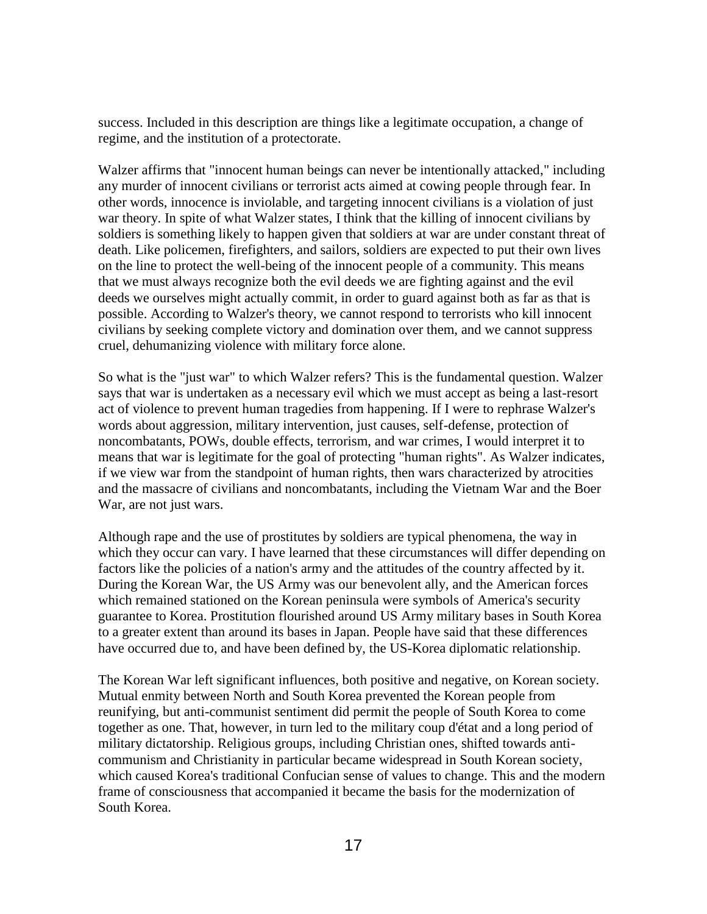success. Included in this description are things like a legitimate occupation, a change of regime, and the institution of a protectorate.

Walzer affirms that "innocent human beings can never be intentionally attacked," including any murder of innocent civilians or terrorist acts aimed at cowing people through fear. In other words, innocence is inviolable, and targeting innocent civilians is a violation of just war theory. In spite of what Walzer states, I think that the killing of innocent civilians by soldiers is something likely to happen given that soldiers at war are under constant threat of death. Like policemen, firefighters, and sailors, soldiers are expected to put their own lives on the line to protect the well-being of the innocent people of a community. This means that we must always recognize both the evil deeds we are fighting against and the evil deeds we ourselves might actually commit, in order to guard against both as far as that is possible. According to Walzer's theory, we cannot respond to terrorists who kill innocent civilians by seeking complete victory and domination over them, and we cannot suppress cruel, dehumanizing violence with military force alone.

So what is the "just war" to which Walzer refers? This is the fundamental question. Walzer says that war is undertaken as a necessary evil which we must accept as being a last-resort act of violence to prevent human tragedies from happening. If I were to rephrase Walzer's words about aggression, military intervention, just causes, self-defense, protection of noncombatants, POWs, double effects, terrorism, and war crimes, I would interpret it to means that war is legitimate for the goal of protecting "human rights". As Walzer indicates, if we view war from the standpoint of human rights, then wars characterized by atrocities and the massacre of civilians and noncombatants, including the Vietnam War and the Boer War, are not just wars.

Although rape and the use of prostitutes by soldiers are typical phenomena, the way in which they occur can vary. I have learned that these circumstances will differ depending on factors like the policies of a nation's army and the attitudes of the country affected by it. During the Korean War, the US Army was our benevolent ally, and the American forces which remained stationed on the Korean peninsula were symbols of America's security guarantee to Korea. Prostitution flourished around US Army military bases in South Korea to a greater extent than around its bases in Japan. People have said that these differences have occurred due to, and have been defined by, the US-Korea diplomatic relationship.

The Korean War left significant influences, both positive and negative, on Korean society. Mutual enmity between North and South Korea prevented the Korean people from reunifying, but anti-communist sentiment did permit the people of South Korea to come together as one. That, however, in turn led to the military coup d'état and a long period of military dictatorship. Religious groups, including Christian ones, shifted towards anticommunism and Christianity in particular became widespread in South Korean society, which caused Korea's traditional Confucian sense of values to change. This and the modern frame of consciousness that accompanied it became the basis for the modernization of South Korea.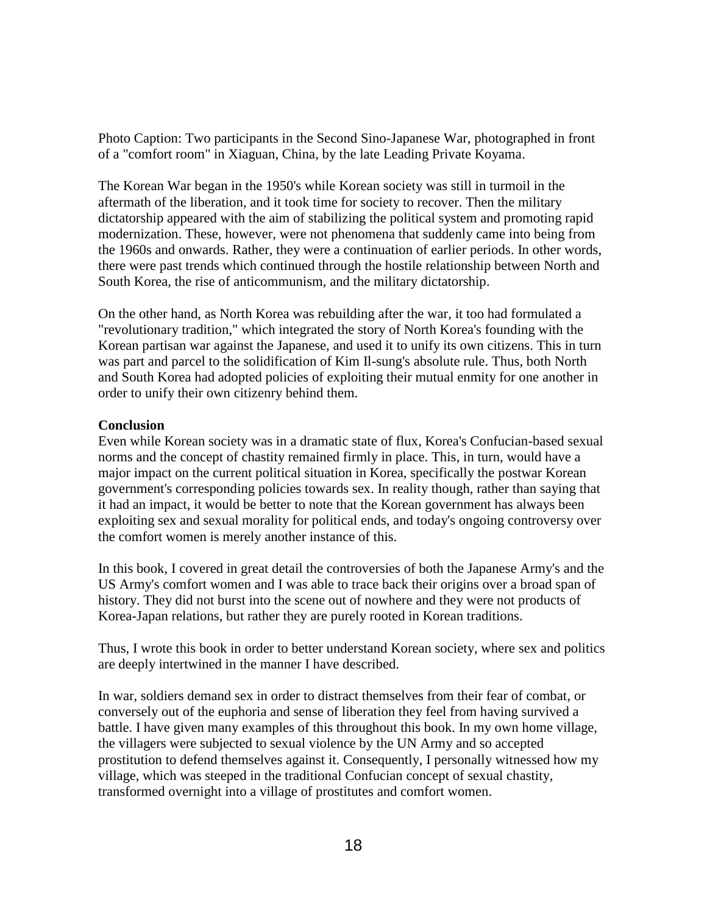Photo Caption: Two participants in the Second Sino-Japanese War, photographed in front of a "comfort room" in Xiaguan, China, by the late Leading Private Koyama.

The Korean War began in the 1950's while Korean society was still in turmoil in the aftermath of the liberation, and it took time for society to recover. Then the military dictatorship appeared with the aim of stabilizing the political system and promoting rapid modernization. These, however, were not phenomena that suddenly came into being from the 1960s and onwards. Rather, they were a continuation of earlier periods. In other words, there were past trends which continued through the hostile relationship between North and South Korea, the rise of anticommunism, and the military dictatorship.

On the other hand, as North Korea was rebuilding after the war, it too had formulated a "revolutionary tradition," which integrated the story of North Korea's founding with the Korean partisan war against the Japanese, and used it to unify its own citizens. This in turn was part and parcel to the solidification of Kim Il-sung's absolute rule. Thus, both North and South Korea had adopted policies of exploiting their mutual enmity for one another in order to unify their own citizenry behind them.

### **Conclusion**

Even while Korean society was in a dramatic state of flux, Korea's Confucian-based sexual norms and the concept of chastity remained firmly in place. This, in turn, would have a major impact on the current political situation in Korea, specifically the postwar Korean government's corresponding policies towards sex. In reality though, rather than saying that it had an impact, it would be better to note that the Korean government has always been exploiting sex and sexual morality for political ends, and today's ongoing controversy over the comfort women is merely another instance of this.

In this book, I covered in great detail the controversies of both the Japanese Army's and the US Army's comfort women and I was able to trace back their origins over a broad span of history. They did not burst into the scene out of nowhere and they were not products of Korea-Japan relations, but rather they are purely rooted in Korean traditions.

Thus, I wrote this book in order to better understand Korean society, where sex and politics are deeply intertwined in the manner I have described.

In war, soldiers demand sex in order to distract themselves from their fear of combat, or conversely out of the euphoria and sense of liberation they feel from having survived a battle. I have given many examples of this throughout this book. In my own home village, the villagers were subjected to sexual violence by the UN Army and so accepted prostitution to defend themselves against it. Consequently, I personally witnessed how my village, which was steeped in the traditional Confucian concept of sexual chastity, transformed overnight into a village of prostitutes and comfort women.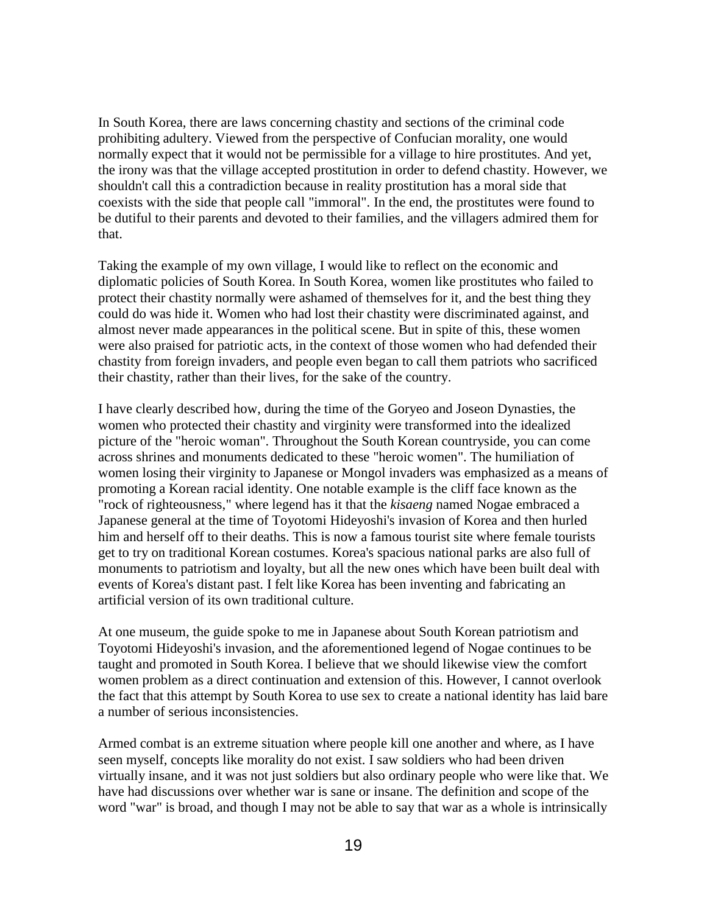In South Korea, there are laws concerning chastity and sections of the criminal code prohibiting adultery. Viewed from the perspective of Confucian morality, one would normally expect that it would not be permissible for a village to hire prostitutes. And yet, the irony was that the village accepted prostitution in order to defend chastity. However, we shouldn't call this a contradiction because in reality prostitution has a moral side that coexists with the side that people call "immoral". In the end, the prostitutes were found to be dutiful to their parents and devoted to their families, and the villagers admired them for that.

Taking the example of my own village, I would like to reflect on the economic and diplomatic policies of South Korea. In South Korea, women like prostitutes who failed to protect their chastity normally were ashamed of themselves for it, and the best thing they could do was hide it. Women who had lost their chastity were discriminated against, and almost never made appearances in the political scene. But in spite of this, these women were also praised for patriotic acts, in the context of those women who had defended their chastity from foreign invaders, and people even began to call them patriots who sacrificed their chastity, rather than their lives, for the sake of the country.

I have clearly described how, during the time of the Goryeo and Joseon Dynasties, the women who protected their chastity and virginity were transformed into the idealized picture of the "heroic woman". Throughout the South Korean countryside, you can come across shrines and monuments dedicated to these "heroic women". The humiliation of women losing their virginity to Japanese or Mongol invaders was emphasized as a means of promoting a Korean racial identity. One notable example is the cliff face known as the "rock of righteousness," where legend has it that the *kisaeng* named Nogae embraced a Japanese general at the time of Toyotomi Hideyoshi's invasion of Korea and then hurled him and herself off to their deaths. This is now a famous tourist site where female tourists get to try on traditional Korean costumes. Korea's spacious national parks are also full of monuments to patriotism and loyalty, but all the new ones which have been built deal with events of Korea's distant past. I felt like Korea has been inventing and fabricating an artificial version of its own traditional culture.

At one museum, the guide spoke to me in Japanese about South Korean patriotism and Toyotomi Hideyoshi's invasion, and the aforementioned legend of Nogae continues to be taught and promoted in South Korea. I believe that we should likewise view the comfort women problem as a direct continuation and extension of this. However, I cannot overlook the fact that this attempt by South Korea to use sex to create a national identity has laid bare a number of serious inconsistencies.

Armed combat is an extreme situation where people kill one another and where, as I have seen myself, concepts like morality do not exist. I saw soldiers who had been driven virtually insane, and it was not just soldiers but also ordinary people who were like that. We have had discussions over whether war is sane or insane. The definition and scope of the word "war" is broad, and though I may not be able to say that war as a whole is intrinsically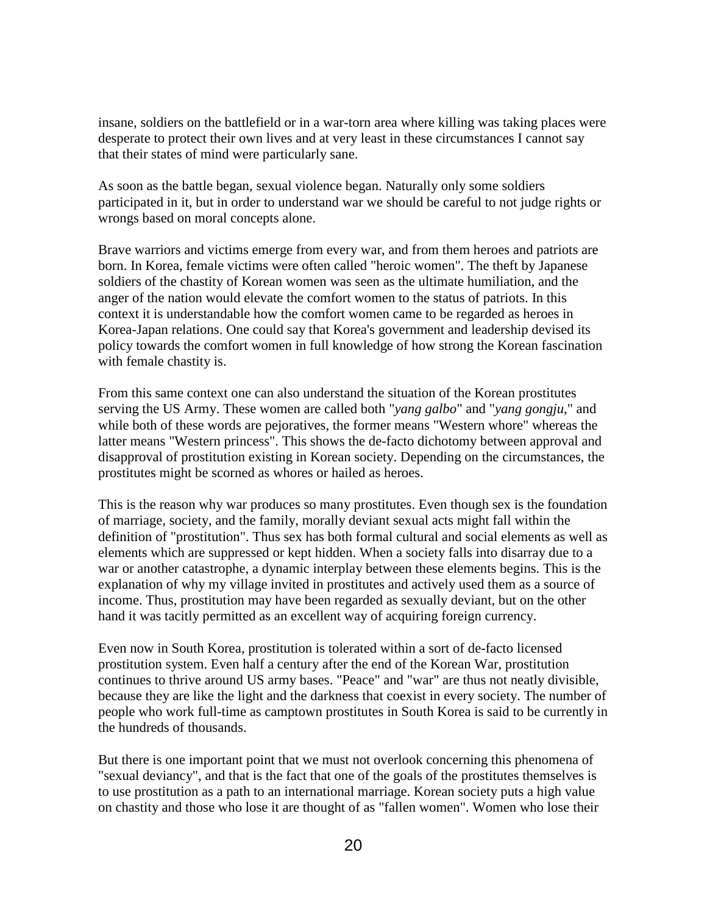insane, soldiers on the battlefield or in a war-torn area where killing was taking places were desperate to protect their own lives and at very least in these circumstances I cannot say that their states of mind were particularly sane.

As soon as the battle began, sexual violence began. Naturally only some soldiers participated in it, but in order to understand war we should be careful to not judge rights or wrongs based on moral concepts alone.

Brave warriors and victims emerge from every war, and from them heroes and patriots are born. In Korea, female victims were often called "heroic women". The theft by Japanese soldiers of the chastity of Korean women was seen as the ultimate humiliation, and the anger of the nation would elevate the comfort women to the status of patriots. In this context it is understandable how the comfort women came to be regarded as heroes in Korea-Japan relations. One could say that Korea's government and leadership devised its policy towards the comfort women in full knowledge of how strong the Korean fascination with female chastity is.

From this same context one can also understand the situation of the Korean prostitutes serving the US Army. These women are called both "*yang galbo*" and "*yang gongju*," and while both of these words are pejoratives, the former means "Western whore" whereas the latter means "Western princess". This shows the de-facto dichotomy between approval and disapproval of prostitution existing in Korean society. Depending on the circumstances, the prostitutes might be scorned as whores or hailed as heroes.

This is the reason why war produces so many prostitutes. Even though sex is the foundation of marriage, society, and the family, morally deviant sexual acts might fall within the definition of "prostitution". Thus sex has both formal cultural and social elements as well as elements which are suppressed or kept hidden. When a society falls into disarray due to a war or another catastrophe, a dynamic interplay between these elements begins. This is the explanation of why my village invited in prostitutes and actively used them as a source of income. Thus, prostitution may have been regarded as sexually deviant, but on the other hand it was tacitly permitted as an excellent way of acquiring foreign currency.

Even now in South Korea, prostitution is tolerated within a sort of de-facto licensed prostitution system. Even half a century after the end of the Korean War, prostitution continues to thrive around US army bases. "Peace" and "war" are thus not neatly divisible, because they are like the light and the darkness that coexist in every society. The number of people who work full-time as camptown prostitutes in South Korea is said to be currently in the hundreds of thousands.

But there is one important point that we must not overlook concerning this phenomena of "sexual deviancy", and that is the fact that one of the goals of the prostitutes themselves is to use prostitution as a path to an international marriage. Korean society puts a high value on chastity and those who lose it are thought of as "fallen women". Women who lose their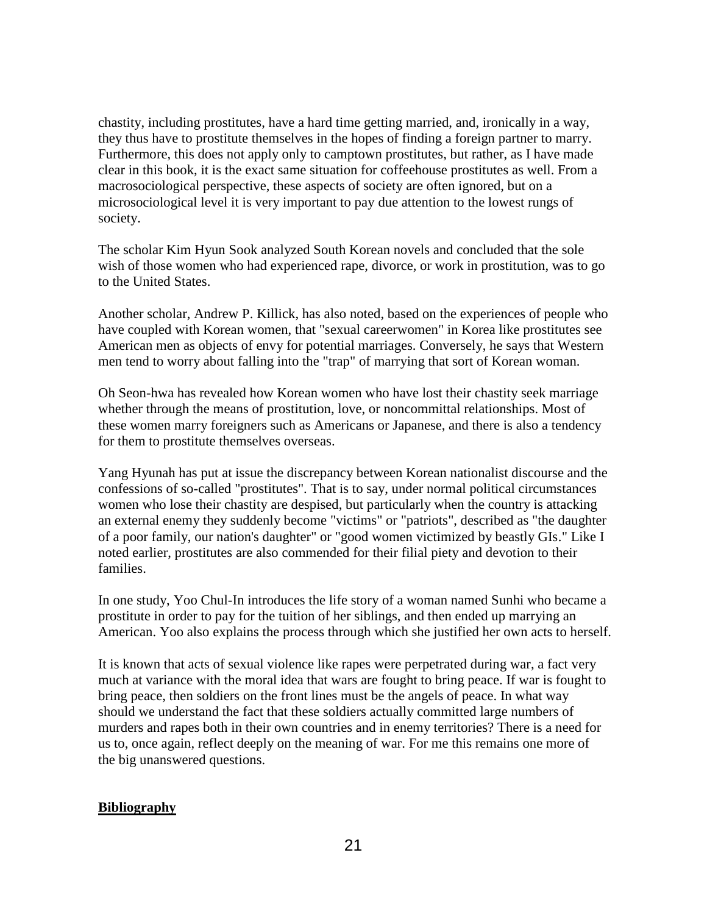chastity, including prostitutes, have a hard time getting married, and, ironically in a way, they thus have to prostitute themselves in the hopes of finding a foreign partner to marry. Furthermore, this does not apply only to camptown prostitutes, but rather, as I have made clear in this book, it is the exact same situation for coffeehouse prostitutes as well. From a macrosociological perspective, these aspects of society are often ignored, but on a microsociological level it is very important to pay due attention to the lowest rungs of society.

The scholar Kim Hyun Sook analyzed South Korean novels and concluded that the sole wish of those women who had experienced rape, divorce, or work in prostitution, was to go to the United States.

Another scholar, Andrew P. Killick, has also noted, based on the experiences of people who have coupled with Korean women, that "sexual careerwomen" in Korea like prostitutes see American men as objects of envy for potential marriages. Conversely, he says that Western men tend to worry about falling into the "trap" of marrying that sort of Korean woman.

Oh Seon-hwa has revealed how Korean women who have lost their chastity seek marriage whether through the means of prostitution, love, or noncommittal relationships. Most of these women marry foreigners such as Americans or Japanese, and there is also a tendency for them to prostitute themselves overseas.

Yang Hyunah has put at issue the discrepancy between Korean nationalist discourse and the confessions of so-called "prostitutes". That is to say, under normal political circumstances women who lose their chastity are despised, but particularly when the country is attacking an external enemy they suddenly become "victims" or "patriots", described as "the daughter of a poor family, our nation's daughter" or "good women victimized by beastly GIs." Like I noted earlier, prostitutes are also commended for their filial piety and devotion to their families.

In one study, Yoo Chul-In introduces the life story of a woman named Sunhi who became a prostitute in order to pay for the tuition of her siblings, and then ended up marrying an American. Yoo also explains the process through which she justified her own acts to herself.

It is known that acts of sexual violence like rapes were perpetrated during war, a fact very much at variance with the moral idea that wars are fought to bring peace. If war is fought to bring peace, then soldiers on the front lines must be the angels of peace. In what way should we understand the fact that these soldiers actually committed large numbers of murders and rapes both in their own countries and in enemy territories? There is a need for us to, once again, reflect deeply on the meaning of war. For me this remains one more of the big unanswered questions.

## **Bibliography**